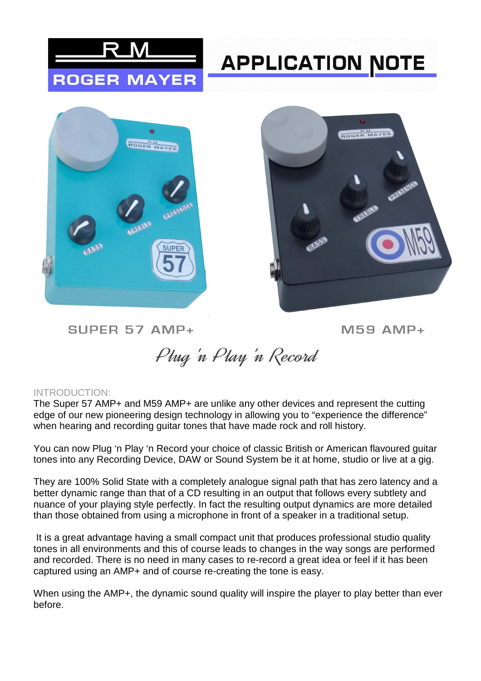

## **APPLICATION NOTE**





SUPER 57 AMP+

 $M59$  AMP+

Phug 'n Play 'n Record

## INTRODUCTION:

The Super 57 AMP+ and M59 AMP+ are unlike any other devices and represent the cutting edge of our new pioneering design technology in allowing you to "experience the difference" when hearing and recording guitar tones that have made rock and roll history.

You can now Plug 'n Play 'n Record your choice of classic British or American flavoured guitar tones into any Recording Device, DAW or Sound System be it at home, studio or live at a gig.

They are 100% Solid State with a completely analogue signal path that has zero latency and a better dynamic range than that of a CD resulting in an output that follows every subtlety and nuance of your playing style perfectly. In fact the resulting output dynamics are more detailed than those obtained from using a microphone in front of a speaker in a traditional setup.

 It is a great advantage having a small compact unit that produces professional studio quality tones in all environments and this of course leads to changes in the way songs are performed and recorded. There is no need in many cases to re-record a great idea or feel if it has been captured using an AMP+ and of course re-creating the tone is easy.

When using the AMP+, the dynamic sound quality will inspire the player to play better than ever before.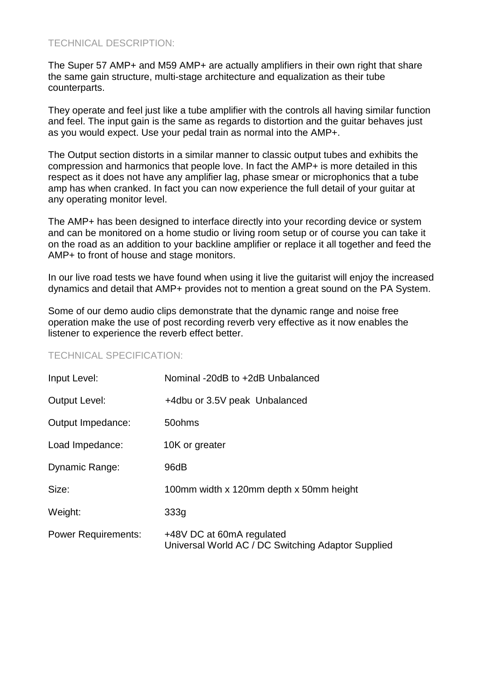## TECHNICAL DESCRIPTION:

The Super 57 AMP+ and M59 AMP+ are actually amplifiers in their own right that share the same gain structure, multi-stage architecture and equalization as their tube counterparts.

They operate and feel just like a tube amplifier with the controls all having similar function and feel. The input gain is the same as regards to distortion and the guitar behaves just as you would expect. Use your pedal train as normal into the AMP+.

The Output section distorts in a similar manner to classic output tubes and exhibits the compression and harmonics that people love. In fact the AMP+ is more detailed in this respect as it does not have any amplifier lag, phase smear or microphonics that a tube amp has when cranked. In fact you can now experience the full detail of your guitar at any operating monitor level.

The AMP+ has been designed to interface directly into your recording device or system and can be monitored on a home studio or living room setup or of course you can take it on the road as an addition to your backline amplifier or replace it all together and feed the AMP+ to front of house and stage monitors.

In our live road tests we have found when using it live the guitarist will enjoy the increased dynamics and detail that AMP+ provides not to mention a great sound on the PA System.

Some of our demo audio clips demonstrate that the dynamic range and noise free operation make the use of post recording reverb very effective as it now enables the listener to experience the reverb effect better.

## TECHNICAL SPECIFICATION:

| Input Level:               | Nominal -20dB to +2dB Unbalanced                                                |
|----------------------------|---------------------------------------------------------------------------------|
| <b>Output Level:</b>       | +4dbu or 3.5V peak Unbalanced                                                   |
| Output Impedance:          | 50 ohms                                                                         |
| Load Impedance:            | 10K or greater                                                                  |
| <b>Dynamic Range:</b>      | 96dB                                                                            |
| Size:                      | 100mm width x 120mm depth x 50mm height                                         |
| Weight:                    | 333q                                                                            |
| <b>Power Requirements:</b> | +48V DC at 60mA regulated<br>Universal World AC / DC Switching Adaptor Supplied |